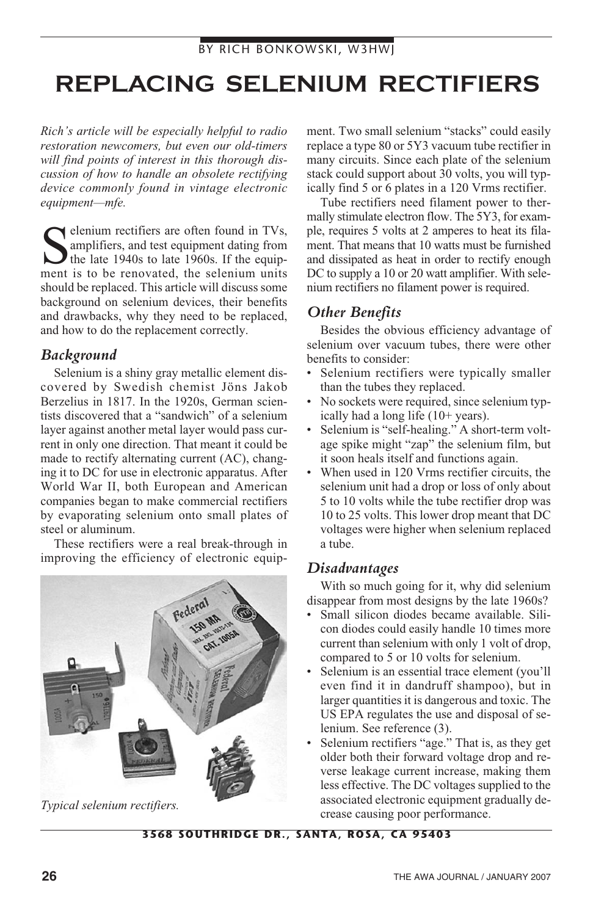## **REPLACING SELENIUM RECTIFIERS**

*Rich's article will be especially helpful to radio restoration newcomers, but even our old-timers will find points of interest in this thorough discussion of how to handle an obsolete rectifying device commonly found in vintage electronic equipment—mfe.*

Selenium rectifiers are often found in TVs,<br>the late 1940s to late 1960s. If the equip-<br>ment is to be renovated the selenium units amplifiers, and test equipment dating from ment is to be renovated, the selenium units should be replaced. This article will discuss some background on selenium devices, their benefits and drawbacks, why they need to be replaced, and how to do the replacement correctly.

## *Background*

Selenium is a shiny gray metallic element discovered by Swedish chemist Jöns Jakob Berzelius in 1817. In the 1920s, German scientists discovered that a "sandwich" of a selenium layer against another metal layer would pass current in only one direction. That meant it could be made to rectify alternating current (AC), changing it to DC for use in electronic apparatus. After World War II, both European and American companies began to make commercial rectifiers by evaporating selenium onto small plates of steel or aluminum.

These rectifiers were a real break-through in improving the efficiency of electronic equip-



*Typical selenium rectifiers.*

ment. Two small selenium "stacks" could easily replace a type 80 or 5Y3 vacuum tube rectifier in many circuits. Since each plate of the selenium stack could support about 30 volts, you will typically find 5 or 6 plates in a 120 Vrms rectifier.

Tube rectifiers need filament power to thermally stimulate electron flow. The 5Y3, for example, requires 5 volts at 2 amperes to heat its filament. That means that 10 watts must be furnished and dissipated as heat in order to rectify enough DC to supply a 10 or 20 watt amplifier. With selenium rectifiers no filament power is required.

## *Other Benefits*

Besides the obvious efficiency advantage of selenium over vacuum tubes, there were other benefits to consider:

- Selenium rectifiers were typically smaller than the tubes they replaced.
- No sockets were required, since selenium typically had a long life (10+ years).
- Selenium is "self-healing." A short-term voltage spike might "zap" the selenium film, but it soon heals itself and functions again.
- When used in 120 Vrms rectifier circuits, the selenium unit had a drop or loss of only about 5 to 10 volts while the tube rectifier drop was 10 to 25 volts. This lower drop meant that DC voltages were higher when selenium replaced a tube.

## *Disadvantages*

With so much going for it, why did selenium disappear from most designs by the late 1960s?

- Small silicon diodes became available. Silicon diodes could easily handle 10 times more current than selenium with only 1 volt of drop, compared to 5 or 10 volts for selenium.
- Selenium is an essential trace element (you'll even find it in dandruff shampoo), but in larger quantities it is dangerous and toxic. The US EPA regulates the use and disposal of selenium. See reference (3).
- Selenium rectifiers "age." That is, as they get older both their forward voltage drop and reverse leakage current increase, making them less effective. The DC voltages supplied to the associated electronic equipment gradually decrease causing poor performance.

#### **3568 SOUTHRIDGE DR., SANTA, ROSA, CA 95403**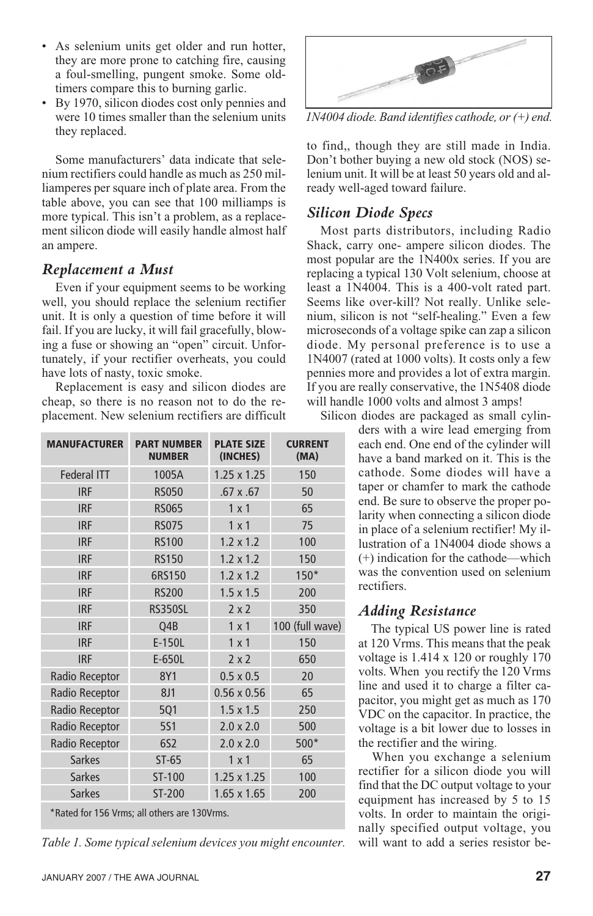- As selenium units get older and run hotter, they are more prone to catching fire, causing a foul-smelling, pungent smoke. Some oldtimers compare this to burning garlic.
- By 1970, silicon diodes cost only pennies and were 10 times smaller than the selenium units they replaced.

Some manufacturers' data indicate that selenium rectifiers could handle as much as 250 milliamperes per square inch of plate area. From the table above, you can see that 100 milliamps is more typical. This isn't a problem, as a replacement silicon diode will easily handle almost half an ampere.

## *Replacement a Must*

Even if your equipment seems to be working well, you should replace the selenium rectifier unit. It is only a question of time before it will fail. If you are lucky, it will fail gracefully, blowing a fuse or showing an "open" circuit. Unfortunately, if your rectifier overheats, you could have lots of nasty, toxic smoke.

Replacement is easy and silicon diodes are cheap, so there is no reason not to do the replacement. New selenium rectifiers are difficult

| <b>MANUFACTURER</b>                          | <b>PART NUMBER</b><br><b>NUMBER</b> | <b>PLATE SIZE</b><br>(INCHES) | <b>CURRENT</b><br>(MA) |
|----------------------------------------------|-------------------------------------|-------------------------------|------------------------|
| Federal ITT                                  | 1005A                               | $1.25 \times 1.25$            | 150                    |
| <b>IRF</b>                                   | <b>RS050</b>                        | .67x.67                       | 50                     |
| <b>IRF</b>                                   | <b>RS065</b>                        | $1 \times 1$                  | 65                     |
| <b>IRF</b>                                   | <b>RS075</b>                        | 1x1                           | 75                     |
| <b>IRF</b>                                   | <b>RS100</b>                        | $1.2 \times 1.2$              | 100                    |
| <b>IRF</b>                                   | <b>RS150</b>                        | $1.2 \times 1.2$              | 150                    |
| <b>IRF</b>                                   | 6RS150                              | $1.2 \times 1.2$              | $150*$                 |
| <b>IRF</b>                                   | <b>RS200</b>                        | $1.5 \times 1.5$              | 200                    |
| <b>IRF</b>                                   | <b>RS350SL</b>                      | 2x2                           | 350                    |
| <b>IRF</b>                                   | Q4B                                 | $1 \times 1$                  | 100 (full wave)        |
| <b>IRF</b>                                   | E-150L                              | $1 \times 1$                  | 150                    |
| <b>IRF</b>                                   | E-650L                              | $2 \times 2$                  | 650                    |
| Radio Receptor                               | 8Y1                                 | $0.5 \times 0.5$              | 20                     |
| Radio Receptor                               | 8J1                                 | $0.56 \times 0.56$            | 65                     |
| Radio Receptor                               | <b>501</b>                          | $1.5 \times 1.5$              | 250                    |
| Radio Receptor                               | <b>5S1</b>                          | $2.0 \times 2.0$              | 500                    |
| Radio Receptor                               | 6S <sub>2</sub>                     | $2.0 \times 2.0$              | $500*$                 |
| <b>Sarkes</b>                                | $ST-65$                             | 1x1                           | 65                     |
| <b>Sarkes</b>                                | ST-100                              | $1.25 \times 1.25$            | 100                    |
| <b>Sarkes</b>                                | ST-200                              | $1.65 \times 1.65$            | 200                    |
| *Rated for 156 Vrms; all others are 130Vrms. |                                     |                               |                        |

*Table 1. Some typical selenium devices you might encounter.*



*1N4004 diode. Band identifies cathode, or (+) end.*

to find,, though they are still made in India. Don't bother buying a new old stock (NOS) selenium unit. It will be at least 50 years old and already well-aged toward failure.

## *Silicon Diode Specs*

Most parts distributors, including Radio Shack, carry one- ampere silicon diodes. The most popular are the 1N400x series. If you are replacing a typical 130 Volt selenium, choose at least a 1N4004. This is a 400-volt rated part. Seems like over-kill? Not really. Unlike selenium, silicon is not "self-healing." Even a few microseconds of a voltage spike can zap a silicon diode. My personal preference is to use a 1N4007 (rated at 1000 volts). It costs only a few pennies more and provides a lot of extra margin. If you are really conservative, the 1N5408 diode will handle 1000 volts and almost 3 amps!

Silicon diodes are packaged as small cylinders with a wire lead emerging from each end. One end of the cylinder will have a band marked on it. This is the cathode. Some diodes will have a taper or chamfer to mark the cathode end. Be sure to observe the proper polarity when connecting a silicon diode in place of a selenium rectifier! My illustration of a 1N4004 diode shows a (+) indication for the cathode—which was the convention used on selenium rectifiers.

## *Adding Resistance*

The typical US power line is rated at 120 Vrms. This means that the peak voltage is 1.414 x 120 or roughly 170 volts. When you rectify the 120 Vrms line and used it to charge a filter capacitor, you might get as much as 170 VDC on the capacitor. In practice, the voltage is a bit lower due to losses in the rectifier and the wiring.

When you exchange a selenium rectifier for a silicon diode you will find that the DC output voltage to your equipment has increased by 5 to 15 volts. In order to maintain the originally specified output voltage, you will want to add a series resistor be-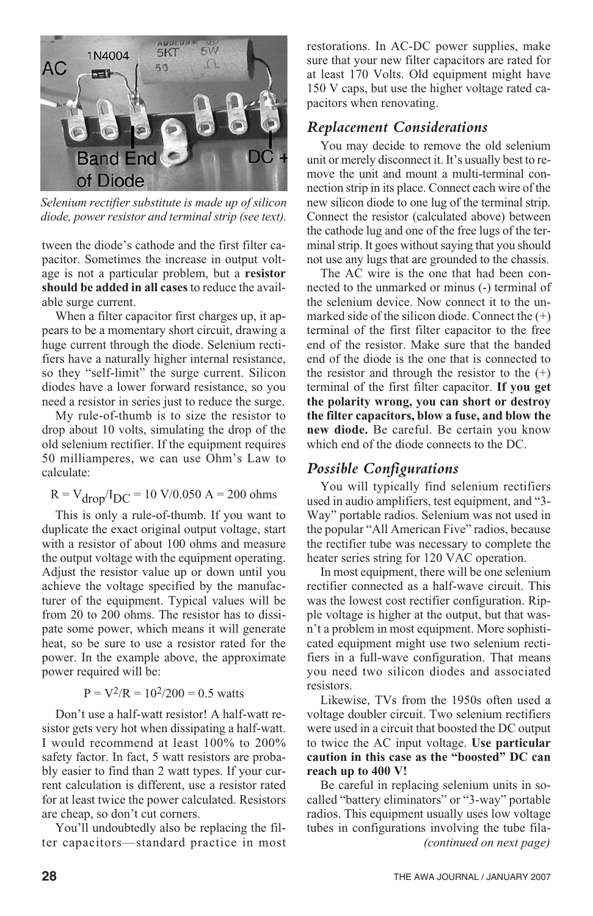

*Selenium rectifier substitute is made up of silicon diode, power resistor and terminal strip (see text).*

tween the diode's cathode and the first filter capacitor. Sometimes the increase in output voltage is not a particular problem, but a **resistor should be added in all cases** to reduce the available surge current.

When a filter capacitor first charges up, it appears to be a momentary short circuit, drawing a huge current through the diode. Selenium rectifiers have a naturally higher internal resistance, so they "self-limit" the surge current. Silicon diodes have a lower forward resistance, so you need a resistor in series just to reduce the surge.

My rule-of-thumb is to size the resistor to drop about 10 volts, simulating the drop of the old selenium rectifier. If the equipment requires 50 milliamperes, we can use Ohm's Law to calculate:

$$
R = V_{drop}/I_{DC} = 10 V/0.050 A = 200 ohms
$$

This is only a rule-of-thumb. If you want to duplicate the exact original output voltage, start with a resistor of about 100 ohms and measure the output voltage with the equipment operating. Adjust the resistor value up or down until you achieve the voltage specified by the manufacturer of the equipment. Typical values will be from 20 to 200 ohms. The resistor has to dissipate some power, which means it will generate heat, so be sure to use a resistor rated for the power. In the example above, the approximate power required will be:

#### $P = V^2/R = 10^2/200 = 0.5$  watts

Don't use a half-watt resistor! A half-watt resistor gets very hot when dissipating a half-watt. I would recommend at least 100% to 200% safety factor. In fact, 5 watt resistors are probably easier to find than 2 watt types. If your current calculation is different, use a resistor rated for at least twice the power calculated. Resistors are cheap, so don't cut corners.

You'll undoubtedly also be replacing the filter capacitors—standard practice in most restorations. In AC-DC power supplies, make sure that your new filter capacitors are rated for at least 170 Volts. Old equipment might have 150 V caps, but use the higher voltage rated capacitors when renovating.

### *Replacement Considerations*

You may decide to remove the old selenium unit or merely disconnect it. It's usually best to remove the unit and mount a multi-terminal connection strip in its place. Connect each wire of the new silicon diode to one lug of the terminal strip. Connect the resistor (calculated above) between the cathode lug and one of the free lugs of the terminal strip. It goes without saying that you should not use any lugs that are grounded to the chassis.

The AC wire is the one that had been connected to the unmarked or minus (-) terminal of the selenium device. Now connect it to the unmarked side of the silicon diode. Connect the  $(+)$ terminal of the first filter capacitor to the free end of the resistor. Make sure that the banded end of the diode is the one that is connected to the resistor and through the resistor to the  $(+)$ terminal of the first filter capacitor. **If you get the polarity wrong, you can short or destroy the filter capacitors, blow a fuse, and blow the new diode.** Be careful. Be certain you know which end of the diode connects to the DC.

## *Possible Configurations*

You will typically find selenium rectifiers used in audio amplifiers, test equipment, and "3- Way" portable radios. Selenium was not used in the popular "All American Five" radios, because the rectifier tube was necessary to complete the heater series string for 120 VAC operation.

In most equipment, there will be one selenium rectifier connected as a half-wave circuit. This was the lowest cost rectifier configuration. Ripple voltage is higher at the output, but that wasn't a problem in most equipment. More sophisticated equipment might use two selenium rectifiers in a full-wave configuration. That means you need two silicon diodes and associated resistors.

Likewise, TVs from the 1950s often used a voltage doubler circuit. Two selenium rectifiers were used in a circuit that boosted the DC output to twice the AC input voltage. **Use particular caution in this case as the "boosted" DC can reach up to 400 V!**

Be careful in replacing selenium units in socalled "battery eliminators" or "3-way" portable radios. This equipment usually uses low voltage tubes in configurations involving the tube fila-*(continued on next page)*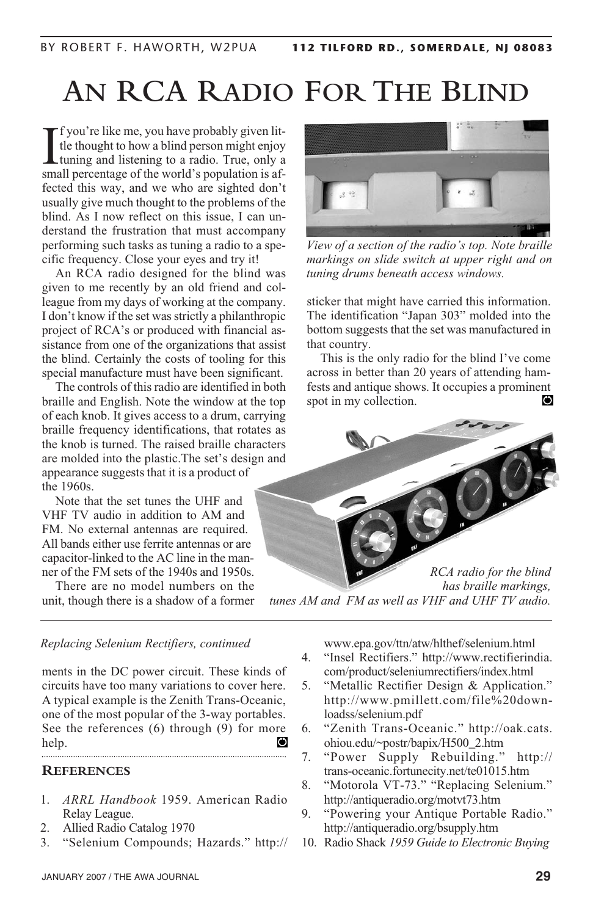# **AN RCA RADIO FOR THE BLIND**

If you're like me, you have probably given lit-<br>the thought to how a blind person might enjoy<br>tuning and listening to a radio. True, only a<br>small percentage of the world's population is aff you're like me, you have probably given little thought to how a blind person might enjoy tuning and listening to a radio. True, only a fected this way, and we who are sighted don't usually give much thought to the problems of the blind. As I now reflect on this issue, I can understand the frustration that must accompany performing such tasks as tuning a radio to a specific frequency. Close your eyes and try it!

An RCA radio designed for the blind was given to me recently by an old friend and colleague from my days of working at the company. I don't know if the set was strictly a philanthropic project of RCA's or produced with financial assistance from one of the organizations that assist the blind. Certainly the costs of tooling for this special manufacture must have been significant.

The controls of this radio are identified in both braille and English. Note the window at the top of each knob. It gives access to a drum, carrying braille frequency identifications, that rotates as the knob is turned. The raised braille characters are molded into the plastic.The set's design and appearance suggests that it is a product of the 1960s.

Note that the set tunes the UHF and VHF TV audio in addition to AM and FM. No external antennas are required. All bands either use ferrite antennas or are capacitor-linked to the AC line in the manner of the FM sets of the 1940s and 1950s.

There are no model numbers on the unit, though there is a shadow of a former



*View of a section of the radio's top. Note braille markings on slide switch at upper right and on tuning drums beneath access windows.*

sticker that might have carried this information. The identification "Japan 303" molded into the bottom suggests that the set was manufactured in that country.

This is the only radio for the blind I've come across in better than 20 years of attending hamfests and antique shows. It occupies a prominent spot in my collection.  $\circ$ 



*tunes AM and FM as well as VHF and UHF TV audio.*

#### *Replacing Selenium Rectifiers, continued*

ments in the DC power circuit. These kinds of circuits have too many variations to cover here. A typical example is the Zenith Trans-Oceanic, one of the most popular of the 3-way portables. See the references (6) through (9) for more help.  $\bullet$ 

#### **REFERENCES**

- 1. *ARRL Handbook* 1959. American Radio Relay League.
- 2. Allied Radio Catalog 1970
- 3. "Selenium Compounds; Hazards." http://

www.epa.gov/ttn/atw/hlthef/selenium.html

- 4. "Insel Rectifiers." http://www.rectifierindia. com/product/seleniumrectifiers/index.html
- 5. "Metallic Rectifier Design & Application." http://www.pmillett.com/file%20downloadss/selenium.pdf
- 6. "Zenith Trans-Oceanic." http://oak.cats. ohiou.edu/~postr/bapix/H500\_2.htm
- 7. "Power Supply Rebuilding." http:// trans-oceanic.fortunecity.net/te01015.htm
- 8. "Motorola VT-73." "Replacing Selenium." http://antiqueradio.org/motvt73.htm
- 9. "Powering your Antique Portable Radio." http://antiqueradio.org/bsupply.htm
- 10. Radio Shack *1959 Guide to Electronic Buying*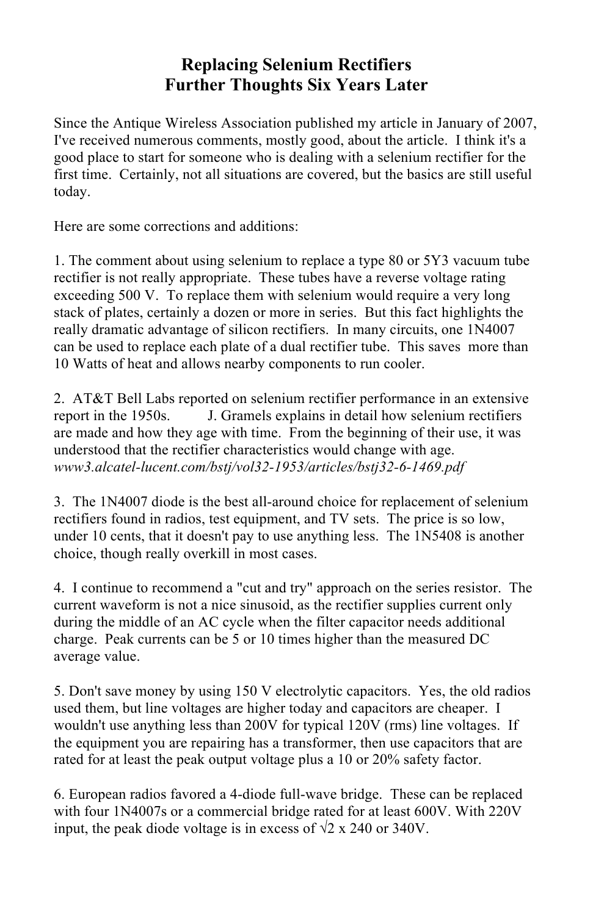## **Replacing Selenium Rectifiers Further Thoughts Six Years Later**

Since the Antique Wireless Association published my article in January of 2007, I've received numerous comments, mostly good, about the article. I think it's a good place to start for someone who is dealing with a selenium rectifier for the first time. Certainly, not all situations are covered, but the basics are still useful today.

Here are some corrections and additions:

1. The comment about using selenium to replace a type 80 or 5Y3 vacuum tube rectifier is not really appropriate. These tubes have a reverse voltage rating exceeding 500 V. To replace them with selenium would require a very long stack of plates, certainly a dozen or more in series. But this fact highlights the really dramatic advantage of silicon rectifiers. In many circuits, one 1N4007 can be used to replace each plate of a dual rectifier tube. This saves more than 10 Watts of heat and allows nearby components to run cooler.

2. AT&T Bell Labs reported on selenium rectifier performance in an extensive report in the 1950s. J. Gramels explains in detail how selenium rectifiers are made and how they age with time. From the beginning of their use, it was understood that the rectifier characteristics would change with age. *www3.alcatel-lucent.com/bstj/vol32-1953/articles/bstj32-6-1469.pdf* 

3. The 1N4007 diode is the best all-around choice for replacement of selenium rectifiers found in radios, test equipment, and TV sets. The price is so low, under 10 cents, that it doesn't pay to use anything less. The 1N5408 is another choice, though really overkill in most cases.

4. I continue to recommend a "cut and try" approach on the series resistor. The current waveform is not a nice sinusoid, as the rectifier supplies current only during the middle of an AC cycle when the filter capacitor needs additional charge. Peak currents can be 5 or 10 times higher than the measured DC average value.

5. Don't save money by using 150 V electrolytic capacitors. Yes, the old radios used them, but line voltages are higher today and capacitors are cheaper. I wouldn't use anything less than 200V for typical 120V (rms) line voltages. If the equipment you are repairing has a transformer, then use capacitors that are rated for at least the peak output voltage plus a 10 or 20% safety factor.

6. European radios favored a 4-diode full-wave bridge. These can be replaced with four 1N4007s or a commercial bridge rated for at least 600V. With 220V input, the peak diode voltage is in excess of  $\sqrt{2} \times 240$  or 340V.